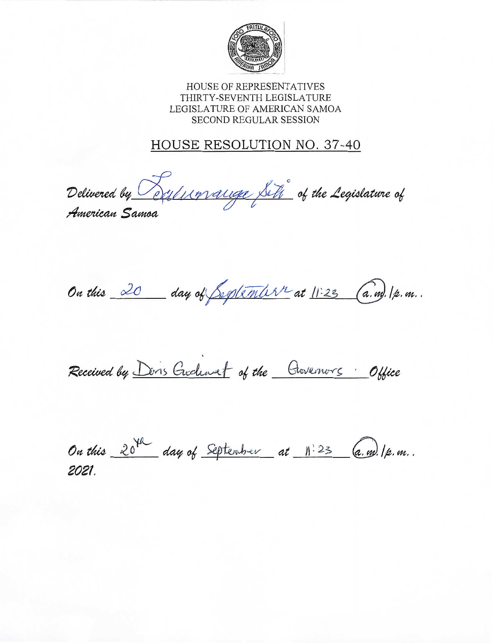

HOUSE OF REPRESENTATIVES THIRTY-SEVENTH LEGISLATURE LEGISLATURE OF AMERICAN SAMOA SECOND REGULAR SESSION

# HOUSE RESOLUTION NO. 37-40

Delivered by Cellunauge Siti of the Legislature of

American Samoa

On this 20 day of September at 11:23 (a.m). 1p.m.

Received by Don's Gudewet of the Governors Office

On this 20th day of September at 11:23 (a.m). 1p.m. 2021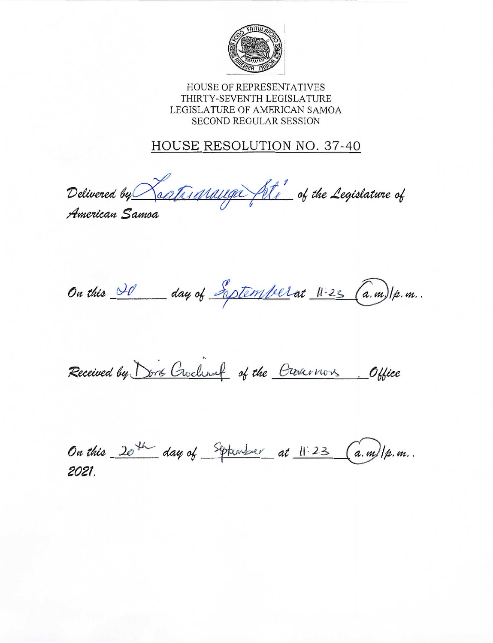

HOUSE OF REPRESENTATIVES THIRTY-SEVENTH LEGISLATURE LEGISLATURE OF AMERICAN SAMOA **SECOND REGULAR SESSION** 

## HOUSE RESOLUTION NO. 37-40

Delivered by Reatrigianauga fit, of the Legislature of

American Samoa

On this 20 day of Explember at 11-23 (a.m)/p.m.

Received by Dons Crochart of the Crosernors. Office

On this 20th day of September at 11:23 (a.m)/p.m. 2021.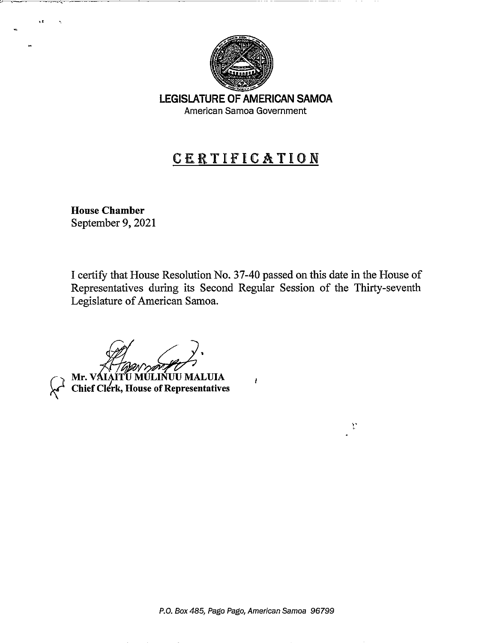

-------------

LEGISLATURE OF AMERICAN SAMOA American Samoa Government

# CERTIFICATION

House Chamber September 9, 2021

I certify that House Resolution No. 37-40 passed on this date in the House of Representatives during its Second Regular Session of the Thirty-seventh Legislature of American Samoa.

 $\mathbf{I}$ 

 $\mathcal{V}$ 

*(it( ~.*

Mr. VÁIAÍTÚ MÚLINUU MALUIA *Chief Clerk, House of Representatives*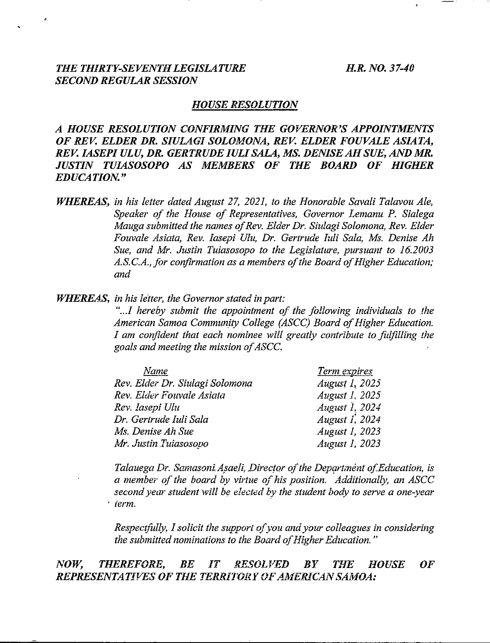#### *THE THIRTY-SEVENTH LEGISLATURE H.R. NO. 37-40 SECOND REGULAR SESSION*

#### *HOUSE RESOLUTION*

*A HOUSE RESOLUTION CONFIRMING THE GOVERNOR'S APPOINTMENTS OF REV. ELDER DR. SIULAGI SOLOMONA, REV. ELDER FOUVALE ASIATA, REV. IASEPI ULU, DR. GERTRUDE lULl SALA, MS. DENISE AH SUE, AND MR. JUSTIN TUIASOSOPO AS MEMBERS OF THE BOARD OF HIGHER EDUCATION. "*

*WHEREAS, in his letter dated August* 27, *2021, to the Honorable Savali Talavou Ale, Speaker of the House of Representatives, Governor Lemanu P. Sialega Mauga submitted the names of Rev. Elder Dr. Siulagi Solomona, Rev. Elder Fouvale Asiata, Rev. Iasepi ot« Dr. Gertrude Iuli Sala, Ms. Denise Ah Sue, and Mr. Justin Tuiasosopo to the Legislature, pursuant to 16.2003 A.S.G.A., for confirmation as a members of the Board of Higher Education; and*

*JfHl!.1lEAS, in his letter, the Governor stated in part:*

*"...I hereby submit the appointment of the following individuals to the American Samoa Community College (ASCC) Board of Higher Education. I am confident that each nominee will greatly contribute to fulfilling the goals and meeting the mission of ASCC.*

| Name                            | Term expires     |
|---------------------------------|------------------|
| Rev. Elder Dr. Siulagi Solomona | August $Ia$ 2025 |
| Rev. Elder Fouvale Asiata       | August 1, 2025   |
| Rev. Iasepi Ulu                 | August 1, 2024   |
| Dr. Gertrude Iuli Sala          | August 1, 2024   |
| Ms. Denise Ah Sue               | August 1, 2023   |
| Mr. Justin Tuiasosopo           | August 1, 2023   |

*Talauega Dr. Samasoni Asaeli, Director of the Department of.Education, is a member of the board by virtue of his position. Additionally, an ASCC second year student will be elected by the student body to serve a one-year . term.*

*Respectfully, I solicit the support of you and your colleagues in considering the submitted nominations to the Board of Higher Education. "*

#### *NOW, THEREFORE, BE IT RESOLVED BY THE HOUSE OF* **REPRESENTATIVES OF THE TERRITORY OF AMERICAN SAMOA:**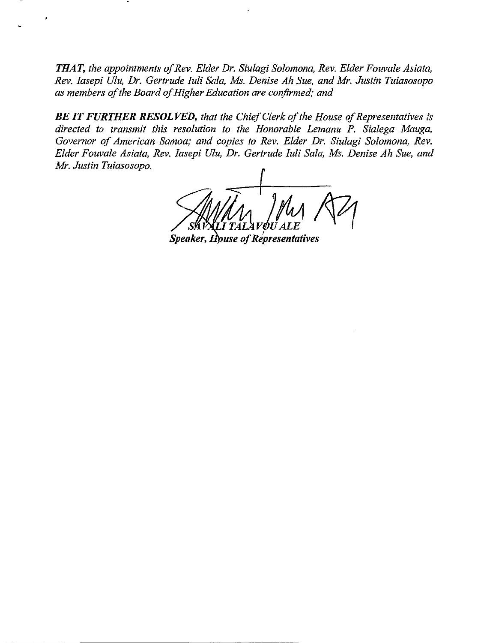*THAT, the appointments of Rev. Elder Dr. Siulagi Solomona, Rev. Elder Fouvale Asiata, Rev. Iasepi Ulu, Dr. Gertrude Iuli Sala, Ms. Denise Ah Sue, and Mr. Justin Tuiasosopo as members of the Board of Higher Education are confirmed; and*

*BE IT FURTHER RESOLVED, that the Chief Clerk of the House of Representatives is directed to transmit this resolution to the Honorable Lemanu P. Sialega Mauga, Governor of American Samoa; and copies to Rev. Elder Dr. Siulagi Solomona, Rev. Elder Fouvale Asiata, Rev. Iasepi Ulu, Dr. Gertrude Iuli Sala, Ms. Denise Ah Sue, and Mr. Justin Tuiasosopo.*

**Speaker, House of Representatives**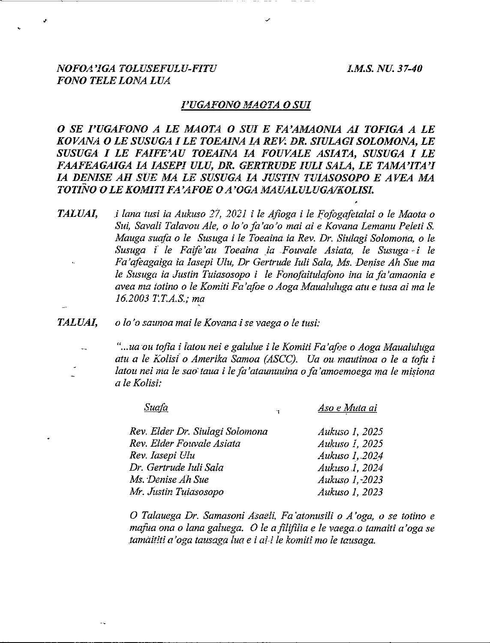### *NOFOA'lGA TOLUSEFULU-FITU I.\_M.S. NU. 37-40 FONO TELE LONA LUA.*

#### *]'UGAFONO }.1AOTA 0 SUI*

*o SE I'UGAFONO <sup>A</sup> LE MAOTA <sup>0</sup> SUI <sup>E</sup> FA'AMAONIA AI TOFIGA A LE KOVANA 0 LE SUSUGA I LE TOEAINA I.ARE~ DR. SIULAGI SOLOMON A, LE SUSUGA I LE FAfFE'AU TOEAINA fA FOllVALE ASIATA, SUSUGA I LE FAAFEAGAIGA fA IASEPI ULU, DR. GERTRUDE lULl SALA, LE TAMA'ITA'J* **IA DENISE AH SUE MA LE SUSUGA IA JUSTIN TUIASOSOPO E AVEA MA** *TOTiNO -0 LE KOMITI FA 'AFOE 0 A 'GGA MAUALULUGAIKOLISL*

*TALUAI, i lana tusi ia Aukuso* <sup>2</sup>'1, *<sup>2021</sup> <sup>i</sup> Ie Afioga <sup>i</sup> Ie Fofogafetalai <sup>0</sup> Ie Maota <sup>0</sup> Sui, Savali Talavou Ale, 0 10'0 fa 'ao '0 mal ai e Kovana Lemanu Peleti* S. *Mauga suafa 0 Ie Susuga i Ie Toeaina. ia.Rev. Dr. Siulagi Solomona, 0 le Susuga { Ie Faife 'au Toeaina ta ..Fouvale Asiata, Ie Susuga+ i le Fa'afeagaiga ia Iasepi Ulu, Dr Gertrude Iuli Sala, Ms. Denise Ah Sue ma le Susuga ia Justin Tuiasosopo i Ie Fonofaitulafono ina ia fa 'amaonia e avea ma iotino 0 Ie Komiti Fa 'afoe 0 Aoga Maualuluga atu e tusa ai ma le 16.2003 1:T.A.S.; ma*

*TALUAI, 010 '0 saunoa mai le Kovana-i se vaega 0 Ie tusi:*

*"...ua 'ou tofia i iatou nei e galulue i Ie Komiti Fa'ofoe 0Aoga Maualuluga atu a Ie Kolisio Amerika Samoa (ASCC). Ua ou. mautinoa 0 le a tofu i latou nei rna le sao:taua i le fa 'ataunuuina 0fa' amoemoega ma Ie misiona a Ie Kolisl.:*

| Suafa                           | Ħ. | Aso e Muta ai  |
|---------------------------------|----|----------------|
| Rev. Elder Dr. Siulagi Solomona |    | Aukuso 1, 2025 |
| Rev. Elder Fouvale Asiata       |    | Aukuso 1, 2025 |
| Rev. Iasepi Ulu                 |    | Aukuso 1, 2024 |
| Dr. Gertrude Iuli Sala          |    | Aukuso 1, 2024 |
| Ms. Denise Ah Sue               |    | Aukuso 1, 2023 |
| Mr. Justin Tuiasosopo           |    | Aukuso 1, 2023 |

o *Talauega Dr. Samasoni Asaeli. Fa 'atonusili 0 <sup>A</sup> 'oga, 0 se totino e mafua ona 0 lana galuega ..* 0 *Ie afilifilia e Ie vaega.o tamaiti a'oga se tamaititi a 'oga tausaga lua e i ai-i le komiti mo le tausaga.*